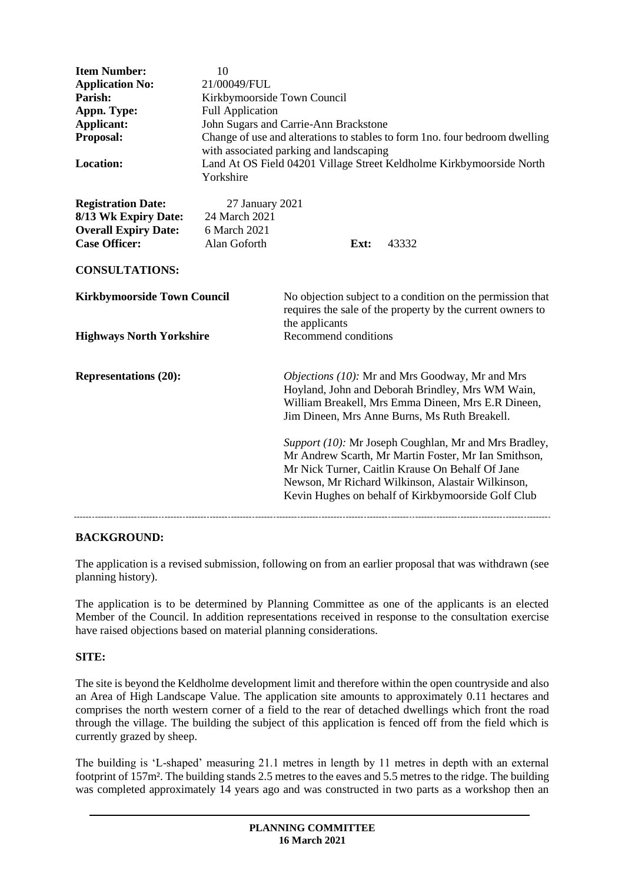| <b>Item Number:</b><br><b>Application No:</b><br>Parish:<br>Appn. Type:<br><b>Applicant:</b><br>Proposal:<br><b>Location:</b> | 10<br>21/00049/FUL<br>Kirkbymoorside Town Council<br><b>Full Application</b><br>Yorkshire | John Sugars and Carrie-Ann Brackstone<br>with associated parking and landscaping                                                           |  | Change of use and alterations to stables to form 1no. four bedroom dwelling<br>Land At OS Field 04201 Village Street Keldholme Kirkbymoorside North                                                                                                                          |
|-------------------------------------------------------------------------------------------------------------------------------|-------------------------------------------------------------------------------------------|--------------------------------------------------------------------------------------------------------------------------------------------|--|------------------------------------------------------------------------------------------------------------------------------------------------------------------------------------------------------------------------------------------------------------------------------|
| <b>Registration Date:</b>                                                                                                     | 27 January 2021                                                                           |                                                                                                                                            |  |                                                                                                                                                                                                                                                                              |
| 8/13 Wk Expiry Date:<br><b>Overall Expiry Date:</b>                                                                           | 24 March 2021<br>6 March 2021                                                             |                                                                                                                                            |  |                                                                                                                                                                                                                                                                              |
| <b>Case Officer:</b>                                                                                                          | Alan Goforth                                                                              | Ext:                                                                                                                                       |  | 43332                                                                                                                                                                                                                                                                        |
| <b>CONSULTATIONS:</b>                                                                                                         |                                                                                           |                                                                                                                                            |  |                                                                                                                                                                                                                                                                              |
| <b>Kirkbymoorside Town Council</b>                                                                                            |                                                                                           | No objection subject to a condition on the permission that<br>requires the sale of the property by the current owners to<br>the applicants |  |                                                                                                                                                                                                                                                                              |
| <b>Highways North Yorkshire</b>                                                                                               |                                                                                           | Recommend conditions                                                                                                                       |  |                                                                                                                                                                                                                                                                              |
| <b>Representations (20):</b>                                                                                                  |                                                                                           |                                                                                                                                            |  | Objections (10): Mr and Mrs Goodway, Mr and Mrs<br>Hoyland, John and Deborah Brindley, Mrs WM Wain,<br>William Breakell, Mrs Emma Dineen, Mrs E.R Dineen,<br>Jim Dineen, Mrs Anne Burns, Ms Ruth Breakell.                                                                   |
|                                                                                                                               |                                                                                           |                                                                                                                                            |  | Support (10): Mr Joseph Coughlan, Mr and Mrs Bradley,<br>Mr Andrew Scarth, Mr Martin Foster, Mr Ian Smithson,<br>Mr Nick Turner, Caitlin Krause On Behalf Of Jane<br>Newson, Mr Richard Wilkinson, Alastair Wilkinson,<br>Kevin Hughes on behalf of Kirkbymoorside Golf Club |

### **BACKGROUND:**

The application is a revised submission, following on from an earlier proposal that was withdrawn (see planning history).

The application is to be determined by Planning Committee as one of the applicants is an elected Member of the Council. In addition representations received in response to the consultation exercise have raised objections based on material planning considerations.

### **SITE:**

The site is beyond the Keldholme development limit and therefore within the open countryside and also an Area of High Landscape Value. The application site amounts to approximately 0.11 hectares and comprises the north western corner of a field to the rear of detached dwellings which front the road through the village. The building the subject of this application is fenced off from the field which is currently grazed by sheep.

The building is 'L-shaped' measuring 21.1 metres in length by 11 metres in depth with an external footprint of 157m². The building stands 2.5 metres to the eaves and 5.5 metres to the ridge. The building was completed approximately 14 years ago and was constructed in two parts as a workshop then an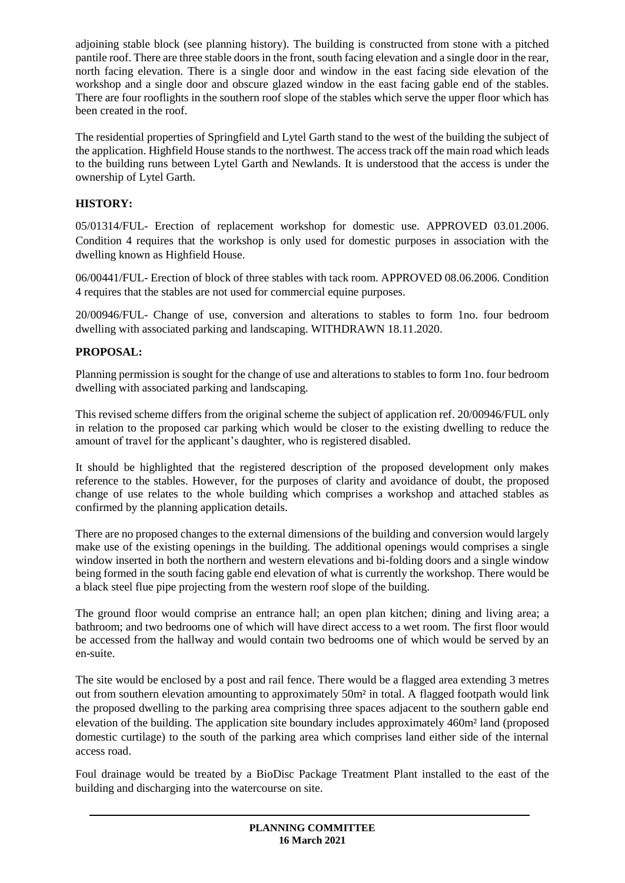adjoining stable block (see planning history). The building is constructed from stone with a pitched pantile roof. There are three stable doors in the front, south facing elevation and a single door in the rear, north facing elevation. There is a single door and window in the east facing side elevation of the workshop and a single door and obscure glazed window in the east facing gable end of the stables. There are four rooflights in the southern roof slope of the stables which serve the upper floor which has been created in the roof.

The residential properties of Springfield and Lytel Garth stand to the west of the building the subject of the application. Highfield House stands to the northwest. The access track off the main road which leads to the building runs between Lytel Garth and Newlands. It is understood that the access is under the ownership of Lytel Garth.

# **HISTORY:**

05/01314/FUL- Erection of replacement workshop for domestic use. APPROVED 03.01.2006. Condition 4 requires that the workshop is only used for domestic purposes in association with the dwelling known as Highfield House.

06/00441/FUL- Erection of block of three stables with tack room. APPROVED 08.06.2006. Condition 4 requires that the stables are not used for commercial equine purposes.

20/00946/FUL- Change of use, conversion and alterations to stables to form 1no. four bedroom dwelling with associated parking and landscaping. WITHDRAWN 18.11.2020.

# **PROPOSAL:**

Planning permission is sought for the change of use and alterations to stables to form 1no. four bedroom dwelling with associated parking and landscaping.

This revised scheme differs from the original scheme the subject of application ref. 20/00946/FUL only in relation to the proposed car parking which would be closer to the existing dwelling to reduce the amount of travel for the applicant's daughter, who is registered disabled.

It should be highlighted that the registered description of the proposed development only makes reference to the stables. However, for the purposes of clarity and avoidance of doubt, the proposed change of use relates to the whole building which comprises a workshop and attached stables as confirmed by the planning application details.

There are no proposed changes to the external dimensions of the building and conversion would largely make use of the existing openings in the building. The additional openings would comprises a single window inserted in both the northern and western elevations and bi-folding doors and a single window being formed in the south facing gable end elevation of what is currently the workshop. There would be a black steel flue pipe projecting from the western roof slope of the building.

The ground floor would comprise an entrance hall; an open plan kitchen; dining and living area; a bathroom; and two bedrooms one of which will have direct access to a wet room. The first floor would be accessed from the hallway and would contain two bedrooms one of which would be served by an en-suite.

The site would be enclosed by a post and rail fence. There would be a flagged area extending 3 metres out from southern elevation amounting to approximately 50m² in total. A flagged footpath would link the proposed dwelling to the parking area comprising three spaces adjacent to the southern gable end elevation of the building. The application site boundary includes approximately 460m² land (proposed domestic curtilage) to the south of the parking area which comprises land either side of the internal access road.

Foul drainage would be treated by a BioDisc Package Treatment Plant installed to the east of the building and discharging into the watercourse on site.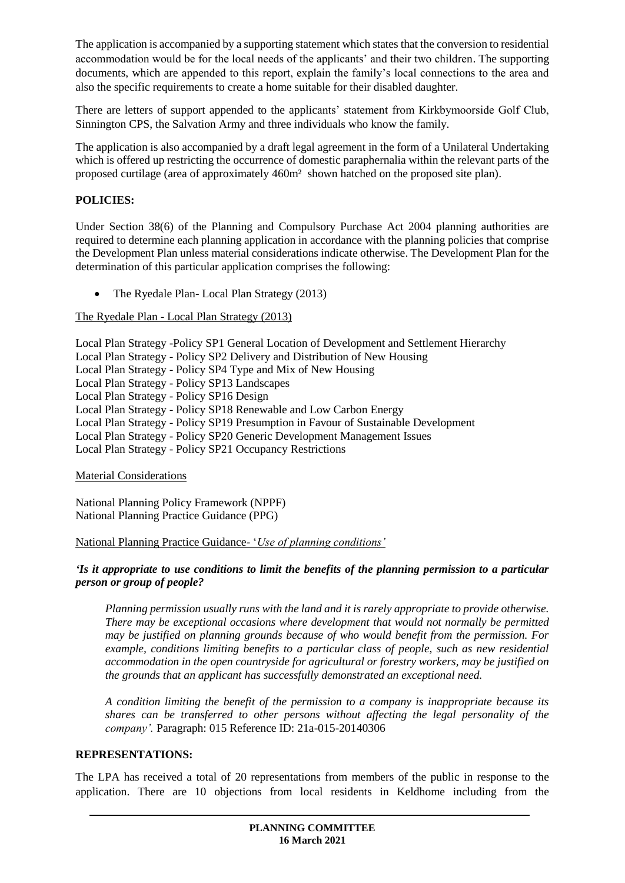The application is accompanied by a supporting statement which states that the conversion to residential accommodation would be for the local needs of the applicants' and their two children. The supporting documents, which are appended to this report, explain the family's local connections to the area and also the specific requirements to create a home suitable for their disabled daughter.

There are letters of support appended to the applicants' statement from Kirkbymoorside Golf Club, Sinnington CPS, the Salvation Army and three individuals who know the family.

The application is also accompanied by a draft legal agreement in the form of a Unilateral Undertaking which is offered up restricting the occurrence of domestic paraphernalia within the relevant parts of the proposed curtilage (area of approximately 460m² shown hatched on the proposed site plan).

## **POLICIES:**

Under Section 38(6) of the Planning and Compulsory Purchase Act 2004 planning authorities are required to determine each planning application in accordance with the planning policies that comprise the Development Plan unless material considerations indicate otherwise. The Development Plan for the determination of this particular application comprises the following:

• The Ryedale Plan- Local Plan Strategy (2013)

The Ryedale Plan - Local Plan Strategy (2013)

| Local Plan Strategy -Policy SP1 General Location of Development and Settlement Hierarchy |
|------------------------------------------------------------------------------------------|
| Local Plan Strategy - Policy SP2 Delivery and Distribution of New Housing                |
| Local Plan Strategy - Policy SP4 Type and Mix of New Housing                             |
| Local Plan Strategy - Policy SP13 Landscapes                                             |
| Local Plan Strategy - Policy SP16 Design                                                 |
| Local Plan Strategy - Policy SP18 Renewable and Low Carbon Energy                        |
| Local Plan Strategy - Policy SP19 Presumption in Favour of Sustainable Development       |
| Local Plan Strategy - Policy SP20 Generic Development Management Issues                  |
| Local Plan Strategy - Policy SP21 Occupancy Restrictions                                 |
|                                                                                          |

### Material Considerations

National Planning Policy Framework (NPPF) National Planning Practice Guidance (PPG)

### National Planning Practice Guidance- '*Use of planning conditions'*

#### *'Is it appropriate to use conditions to limit the benefits of the planning permission to a particular person or group of people?*

*Planning permission usually runs with the land and it is rarely appropriate to provide otherwise. There may be exceptional occasions where development that would not normally be permitted may be justified on planning grounds because of who would benefit from the permission. For example, conditions limiting benefits to a particular class of people, such as new residential accommodation in the open countryside for agricultural or forestry workers, may be justified on the grounds that an applicant has successfully demonstrated an exceptional need.*

*A condition limiting the benefit of the permission to a company is inappropriate because its shares can be transferred to other persons without affecting the legal personality of the company'.* Paragraph: 015 Reference ID: 21a-015-20140306

#### **REPRESENTATIONS:**

The LPA has received a total of 20 representations from members of the public in response to the application. There are 10 objections from local residents in Keldhome including from the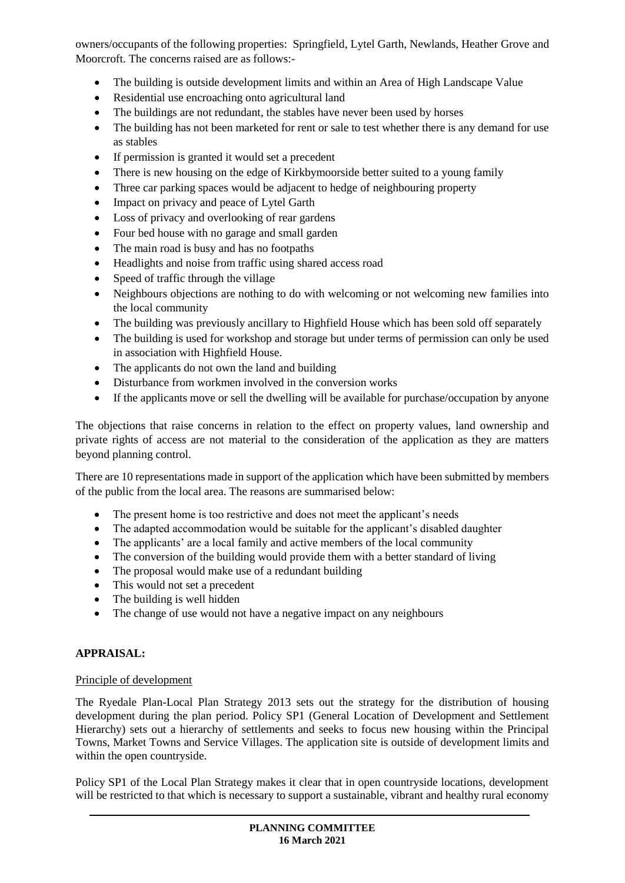owners/occupants of the following properties: Springfield, Lytel Garth, Newlands, Heather Grove and Moorcroft. The concerns raised are as follows:-

- The building is outside development limits and within an Area of High Landscape Value
- Residential use encroaching onto agricultural land
- The buildings are not redundant, the stables have never been used by horses
- The building has not been marketed for rent or sale to test whether there is any demand for use as stables
- If permission is granted it would set a precedent
- There is new housing on the edge of Kirkbymoorside better suited to a young family
- Three car parking spaces would be adjacent to hedge of neighbouring property
- Impact on privacy and peace of Lytel Garth
- Loss of privacy and overlooking of rear gardens
- Four bed house with no garage and small garden
- The main road is busy and has no footpaths
- Headlights and noise from traffic using shared access road
- Speed of traffic through the village
- Neighbours objections are nothing to do with welcoming or not welcoming new families into the local community
- The building was previously ancillary to Highfield House which has been sold off separately
- The building is used for workshop and storage but under terms of permission can only be used in association with Highfield House.
- The applicants do not own the land and building
- Disturbance from workmen involved in the conversion works
- If the applicants move or sell the dwelling will be available for purchase/occupation by anyone

The objections that raise concerns in relation to the effect on property values, land ownership and private rights of access are not material to the consideration of the application as they are matters beyond planning control.

There are 10 representations made in support of the application which have been submitted by members of the public from the local area. The reasons are summarised below:

- The present home is too restrictive and does not meet the applicant's needs
- The adapted accommodation would be suitable for the applicant's disabled daughter
- The applicants' are a local family and active members of the local community
- The conversion of the building would provide them with a better standard of living
- The proposal would make use of a redundant building
- This would not set a precedent
- The building is well hidden
- The change of use would not have a negative impact on any neighbours

### **APPRAISAL:**

#### Principle of development

The Ryedale Plan-Local Plan Strategy 2013 sets out the strategy for the distribution of housing development during the plan period. Policy SP1 (General Location of Development and Settlement Hierarchy) sets out a hierarchy of settlements and seeks to focus new housing within the Principal Towns, Market Towns and Service Villages. The application site is outside of development limits and within the open countryside.

Policy SP1 of the Local Plan Strategy makes it clear that in open countryside locations, development will be restricted to that which is necessary to support a sustainable, vibrant and healthy rural economy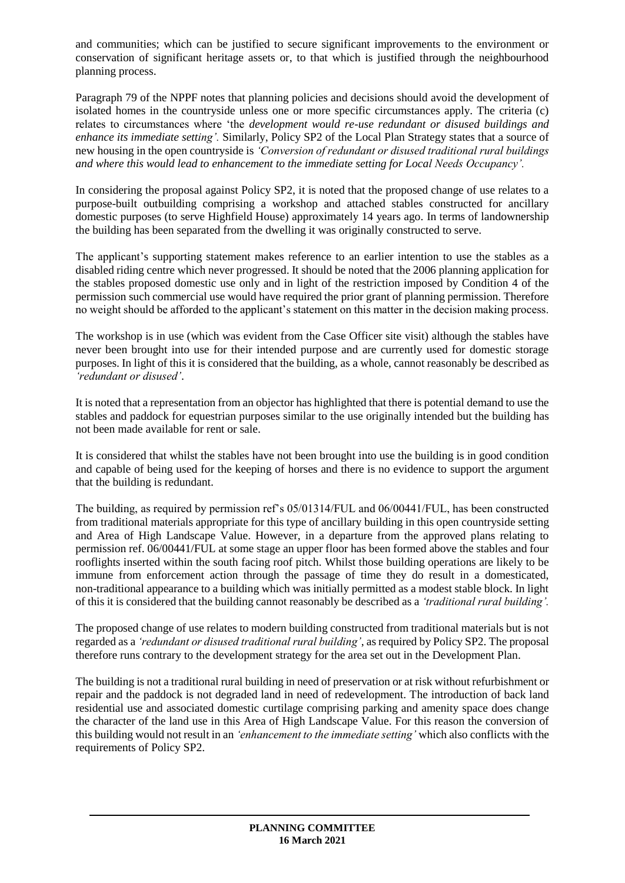and communities; which can be justified to secure significant improvements to the environment or conservation of significant heritage assets or, to that which is justified through the neighbourhood planning process.

Paragraph 79 of the NPPF notes that planning policies and decisions should avoid the development of isolated homes in the countryside unless one or more specific circumstances apply. The criteria (c) relates to circumstances where 'the *development would re-use redundant or disused buildings and enhance its immediate setting'.* Similarly, Policy SP2 of the Local Plan Strategy states that a source of new housing in the open countryside is *'Conversion of redundant or disused traditional rural buildings and where this would lead to enhancement to the immediate setting for Local Needs Occupancy'.*

In considering the proposal against Policy SP2, it is noted that the proposed change of use relates to a purpose-built outbuilding comprising a workshop and attached stables constructed for ancillary domestic purposes (to serve Highfield House) approximately 14 years ago. In terms of landownership the building has been separated from the dwelling it was originally constructed to serve.

The applicant's supporting statement makes reference to an earlier intention to use the stables as a disabled riding centre which never progressed. It should be noted that the 2006 planning application for the stables proposed domestic use only and in light of the restriction imposed by Condition 4 of the permission such commercial use would have required the prior grant of planning permission. Therefore no weight should be afforded to the applicant's statement on this matter in the decision making process.

The workshop is in use (which was evident from the Case Officer site visit) although the stables have never been brought into use for their intended purpose and are currently used for domestic storage purposes. In light of this it is considered that the building, as a whole, cannot reasonably be described as *'redundant or disused'*.

It is noted that a representation from an objector has highlighted that there is potential demand to use the stables and paddock for equestrian purposes similar to the use originally intended but the building has not been made available for rent or sale.

It is considered that whilst the stables have not been brought into use the building is in good condition and capable of being used for the keeping of horses and there is no evidence to support the argument that the building is redundant.

The building, as required by permission ref's 05/01314/FUL and 06/00441/FUL, has been constructed from traditional materials appropriate for this type of ancillary building in this open countryside setting and Area of High Landscape Value. However, in a departure from the approved plans relating to permission ref. 06/00441/FUL at some stage an upper floor has been formed above the stables and four rooflights inserted within the south facing roof pitch. Whilst those building operations are likely to be immune from enforcement action through the passage of time they do result in a domesticated, non-traditional appearance to a building which was initially permitted as a modest stable block. In light of this it is considered that the building cannot reasonably be described as a *'traditional rural building'.*

The proposed change of use relates to modern building constructed from traditional materials but is not regarded as a *'redundant or disused traditional rural building'*, as required by Policy SP2. The proposal therefore runs contrary to the development strategy for the area set out in the Development Plan.

The building is not a traditional rural building in need of preservation or at risk without refurbishment or repair and the paddock is not degraded land in need of redevelopment. The introduction of back land residential use and associated domestic curtilage comprising parking and amenity space does change the character of the land use in this Area of High Landscape Value. For this reason the conversion of this building would not result in an *'enhancement to the immediate setting'* which also conflicts with the requirements of Policy SP2.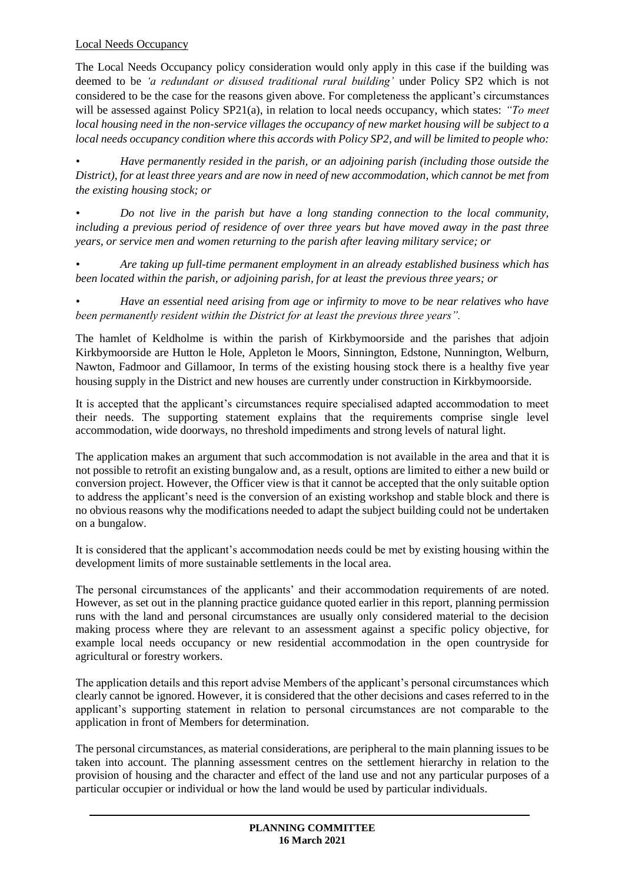## Local Needs Occupancy

The Local Needs Occupancy policy consideration would only apply in this case if the building was deemed to be *'a redundant or disused traditional rural building'* under Policy SP2 which is not considered to be the case for the reasons given above. For completeness the applicant's circumstances will be assessed against Policy SP21(a), in relation to local needs occupancy, which states: *"To meet local housing need in the non-service villages the occupancy of new market housing will be subject to a local needs occupancy condition where this accords with Policy SP2, and will be limited to people who:* 

*• Have permanently resided in the parish, or an adjoining parish (including those outside the District), for at least three years and are now in need of new accommodation, which cannot be met from the existing housing stock; or* 

*• Do not live in the parish but have a long standing connection to the local community, including a previous period of residence of over three years but have moved away in the past three years, or service men and women returning to the parish after leaving military service; or* 

*• Are taking up full-time permanent employment in an already established business which has been located within the parish, or adjoining parish, for at least the previous three years; or* 

*• Have an essential need arising from age or infirmity to move to be near relatives who have been permanently resident within the District for at least the previous three years".*

The hamlet of Keldholme is within the parish of Kirkbymoorside and the parishes that adjoin Kirkbymoorside are Hutton le Hole, Appleton le Moors, Sinnington, Edstone, Nunnington, Welburn, Nawton, Fadmoor and Gillamoor, In terms of the existing housing stock there is a healthy five year housing supply in the District and new houses are currently under construction in Kirkbymoorside.

It is accepted that the applicant's circumstances require specialised adapted accommodation to meet their needs. The supporting statement explains that the requirements comprise single level accommodation, wide doorways, no threshold impediments and strong levels of natural light.

The application makes an argument that such accommodation is not available in the area and that it is not possible to retrofit an existing bungalow and, as a result, options are limited to either a new build or conversion project. However, the Officer view is that it cannot be accepted that the only suitable option to address the applicant's need is the conversion of an existing workshop and stable block and there is no obvious reasons why the modifications needed to adapt the subject building could not be undertaken on a bungalow.

It is considered that the applicant's accommodation needs could be met by existing housing within the development limits of more sustainable settlements in the local area.

The personal circumstances of the applicants' and their accommodation requirements of are noted. However, as set out in the planning practice guidance quoted earlier in this report, planning permission runs with the land and personal circumstances are usually only considered material to the decision making process where they are relevant to an assessment against a specific policy objective, for example local needs occupancy or new residential accommodation in the open countryside for agricultural or forestry workers.

The application details and this report advise Members of the applicant's personal circumstances which clearly cannot be ignored. However, it is considered that the other decisions and cases referred to in the applicant's supporting statement in relation to personal circumstances are not comparable to the application in front of Members for determination.

The personal circumstances, as material considerations, are peripheral to the main planning issues to be taken into account. The planning assessment centres on the settlement hierarchy in relation to the provision of housing and the character and effect of the land use and not any particular purposes of a particular occupier or individual or how the land would be used by particular individuals.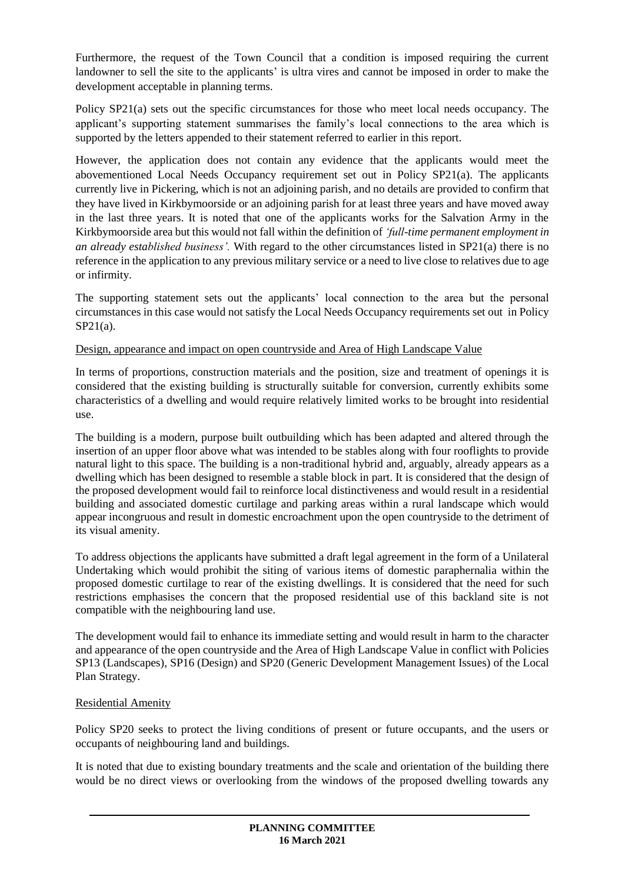Furthermore, the request of the Town Council that a condition is imposed requiring the current landowner to sell the site to the applicants' is ultra vires and cannot be imposed in order to make the development acceptable in planning terms.

Policy SP21(a) sets out the specific circumstances for those who meet local needs occupancy. The applicant's supporting statement summarises the family's local connections to the area which is supported by the letters appended to their statement referred to earlier in this report.

However, the application does not contain any evidence that the applicants would meet the abovementioned Local Needs Occupancy requirement set out in Policy SP21(a). The applicants currently live in Pickering, which is not an adjoining parish, and no details are provided to confirm that they have lived in Kirkbymoorside or an adjoining parish for at least three years and have moved away in the last three years. It is noted that one of the applicants works for the Salvation Army in the Kirkbymoorside area but this would not fall within the definition of *'full-time permanent employment in an already established business'.* With regard to the other circumstances listed in SP21(a) there is no reference in the application to any previous military service or a need to live close to relatives due to age or infirmity.

The supporting statement sets out the applicants' local connection to the area but the personal circumstances in this case would not satisfy the Local Needs Occupancy requirements set out in Policy SP21(a).

### Design, appearance and impact on open countryside and Area of High Landscape Value

In terms of proportions, construction materials and the position, size and treatment of openings it is considered that the existing building is structurally suitable for conversion, currently exhibits some characteristics of a dwelling and would require relatively limited works to be brought into residential use.

The building is a modern, purpose built outbuilding which has been adapted and altered through the insertion of an upper floor above what was intended to be stables along with four rooflights to provide natural light to this space. The building is a non-traditional hybrid and, arguably, already appears as a dwelling which has been designed to resemble a stable block in part. It is considered that the design of the proposed development would fail to reinforce local distinctiveness and would result in a residential building and associated domestic curtilage and parking areas within a rural landscape which would appear incongruous and result in domestic encroachment upon the open countryside to the detriment of its visual amenity.

To address objections the applicants have submitted a draft legal agreement in the form of a Unilateral Undertaking which would prohibit the siting of various items of domestic paraphernalia within the proposed domestic curtilage to rear of the existing dwellings. It is considered that the need for such restrictions emphasises the concern that the proposed residential use of this backland site is not compatible with the neighbouring land use.

The development would fail to enhance its immediate setting and would result in harm to the character and appearance of the open countryside and the Area of High Landscape Value in conflict with Policies SP13 (Landscapes), SP16 (Design) and SP20 (Generic Development Management Issues) of the Local Plan Strategy.

### Residential Amenity

Policy SP20 seeks to protect the living conditions of present or future occupants, and the users or occupants of neighbouring land and buildings.

It is noted that due to existing boundary treatments and the scale and orientation of the building there would be no direct views or overlooking from the windows of the proposed dwelling towards any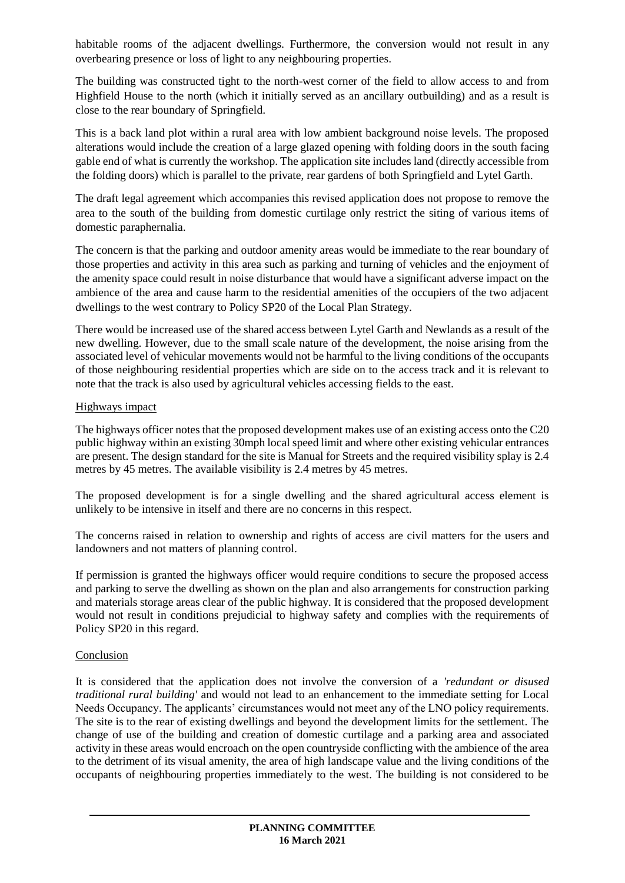habitable rooms of the adjacent dwellings. Furthermore, the conversion would not result in any overbearing presence or loss of light to any neighbouring properties.

The building was constructed tight to the north-west corner of the field to allow access to and from Highfield House to the north (which it initially served as an ancillary outbuilding) and as a result is close to the rear boundary of Springfield.

This is a back land plot within a rural area with low ambient background noise levels. The proposed alterations would include the creation of a large glazed opening with folding doors in the south facing gable end of what is currently the workshop. The application site includes land (directly accessible from the folding doors) which is parallel to the private, rear gardens of both Springfield and Lytel Garth.

The draft legal agreement which accompanies this revised application does not propose to remove the area to the south of the building from domestic curtilage only restrict the siting of various items of domestic paraphernalia.

The concern is that the parking and outdoor amenity areas would be immediate to the rear boundary of those properties and activity in this area such as parking and turning of vehicles and the enjoyment of the amenity space could result in noise disturbance that would have a significant adverse impact on the ambience of the area and cause harm to the residential amenities of the occupiers of the two adjacent dwellings to the west contrary to Policy SP20 of the Local Plan Strategy.

There would be increased use of the shared access between Lytel Garth and Newlands as a result of the new dwelling. However, due to the small scale nature of the development, the noise arising from the associated level of vehicular movements would not be harmful to the living conditions of the occupants of those neighbouring residential properties which are side on to the access track and it is relevant to note that the track is also used by agricultural vehicles accessing fields to the east.

#### Highways impact

The highways officer notes that the proposed development makes use of an existing access onto the C20 public highway within an existing 30mph local speed limit and where other existing vehicular entrances are present. The design standard for the site is Manual for Streets and the required visibility splay is 2.4 metres by 45 metres. The available visibility is 2.4 metres by 45 metres.

The proposed development is for a single dwelling and the shared agricultural access element is unlikely to be intensive in itself and there are no concerns in this respect.

The concerns raised in relation to ownership and rights of access are civil matters for the users and landowners and not matters of planning control.

If permission is granted the highways officer would require conditions to secure the proposed access and parking to serve the dwelling as shown on the plan and also arrangements for construction parking and materials storage areas clear of the public highway. It is considered that the proposed development would not result in conditions prejudicial to highway safety and complies with the requirements of Policy SP20 in this regard.

### **Conclusion**

It is considered that the application does not involve the conversion of a *'redundant or disused traditional rural building'* and would not lead to an enhancement to the immediate setting for Local Needs Occupancy. The applicants' circumstances would not meet any of the LNO policy requirements. The site is to the rear of existing dwellings and beyond the development limits for the settlement. The change of use of the building and creation of domestic curtilage and a parking area and associated activity in these areas would encroach on the open countryside conflicting with the ambience of the area to the detriment of its visual amenity, the area of high landscape value and the living conditions of the occupants of neighbouring properties immediately to the west. The building is not considered to be